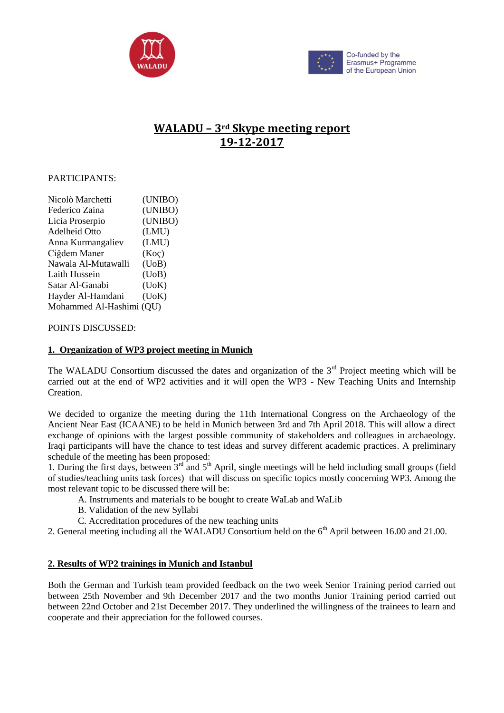



# **WALADU – 3rd Skype meeting report 19-12-2017**

### PARTICIPANTS:

| Nicolò Marchetti         | (UNIBO) |
|--------------------------|---------|
| Federico Zaina           | (UNIBO) |
| Licia Proserpio          | (UNIBO) |
| Adelheid Otto            | (LMU)   |
| Anna Kurmangaliev        | (LMU)   |
| Ciğdem Maner             | (Koc)   |
| Nawala Al-Mutawalli      | (UoB)   |
| Laith Hussein            | (UoB)   |
| Satar Al-Ganabi          | (DoK)   |
| Hayder Al-Hamdani        | (DoK)   |
| Mohammed Al-Hashimi (QU) |         |

#### POINTS DISCUSSED:

#### **1. Organization of WP3 project meeting in Munich**

The WALADU Consortium discussed the dates and organization of the  $3<sup>rd</sup>$  Project meeting which will be carried out at the end of WP2 activities and it will open the WP3 - New Teaching Units and Internship Creation.

We decided to organize the meeting during the 11th International Congress on the Archaeology of the Ancient Near East (ICAANE) to be held in Munich between 3rd and 7th April 2018. This will allow a direct exchange of opinions with the largest possible community of stakeholders and colleagues in archaeology. Iraqi participants will have the chance to test ideas and survey different academic practices. A preliminary schedule of the meeting has been proposed:

1. During the first days, between  $3<sup>rd</sup>$  and  $5<sup>th</sup>$  April, single meetings will be held including small groups (field of studies/teaching units task forces) that will discuss on specific topics mostly concerning WP3. Among the most relevant topic to be discussed there will be:

- A. Instruments and materials to be bought to create WaLab and WaLib
- B. Validation of the new Syllabi
- C. Accreditation procedures of the new teaching units

2. General meeting including all the WALADU Consortium held on the 6<sup>th</sup> April between 16.00 and 21.00.

# **2. Results of WP2 trainings in Munich and Istanbul**

Both the German and Turkish team provided feedback on the two week Senior Training period carried out between 25th November and 9th December 2017 and the two months Junior Training period carried out between 22nd October and 21st December 2017. They underlined the willingness of the trainees to learn and cooperate and their appreciation for the followed courses.